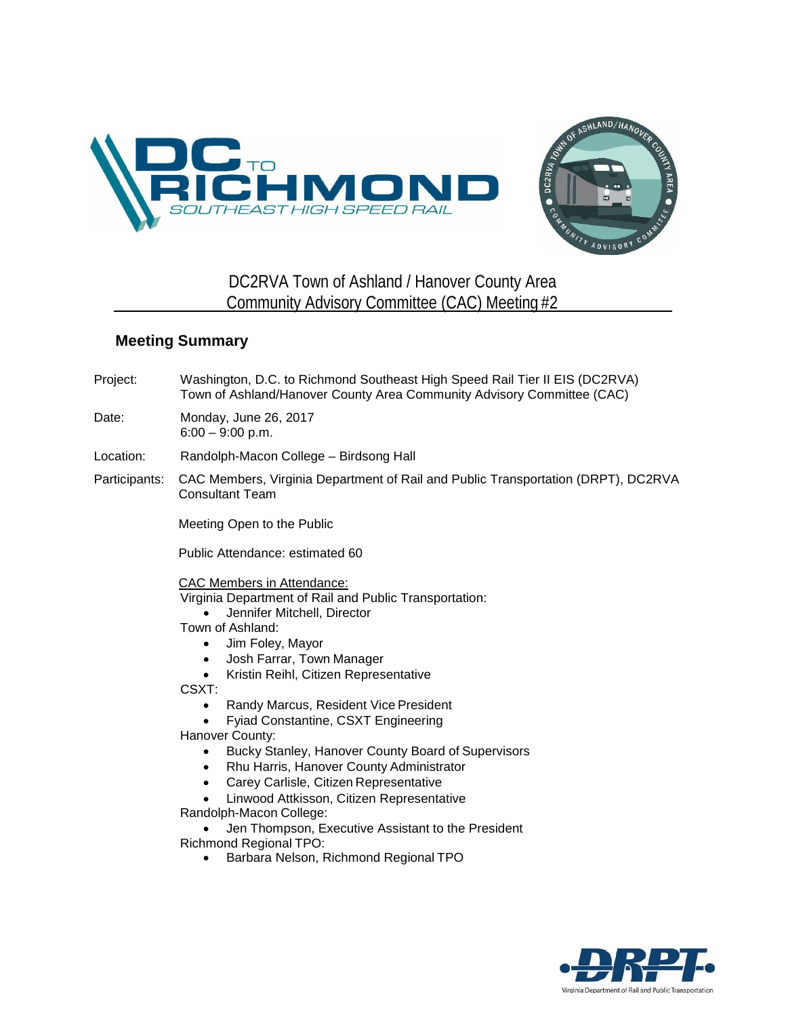



## DC2RVA Town of Ashland / Hanover County Area Community Advisory Committee (CAC) Meeting #2

## **Meeting Summary**

Project: Washington, D.C. to Richmond Southeast High Speed Rail Tier II EIS (DC2RVA) Town of Ashland/Hanover County Area Community Advisory Committee (CAC)

## Date: Monday, June 26, 2017 6:00 – 9:00 p.m.

Location: Randolph-Macon College – Birdsong Hall

Participants: CAC Members, Virginia Department of Rail and Public Transportation (DRPT), DC2RVA Consultant Team

Meeting Open to the Public

Public Attendance: estimated 60

CAC Members in Attendance: Virginia Department of Rail and Public Transportation: • Jennifer Mitchell, Director

Town of Ashland:

- Jim Foley, Mayor
- Josh Farrar, Town Manager
- Kristin Reihl, Citizen Representative

CSXT:

- Randy Marcus, Resident Vice President
- Fyiad Constantine, CSXT Engineering

Hanover County:

- Bucky Stanley, Hanover County Board of Supervisors
- Rhu Harris, Hanover County Administrator
- Carey Carlisle, Citizen Representative
- Linwood Attkisson, Citizen Representative

Randolph-Macon College:

• Jen Thompson, Executive Assistant to the President Richmond Regional TPO:

• Barbara Nelson, Richmond Regional TPO

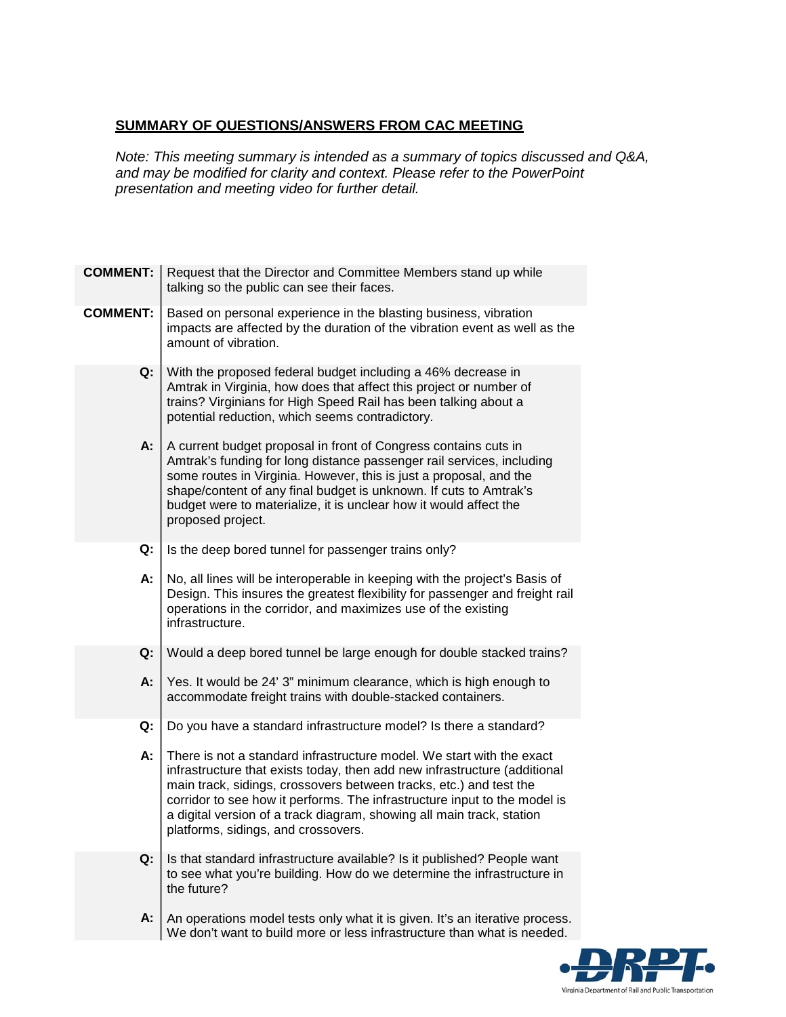## **SUMMARY OF QUESTIONS/ANSWERS FROM CAC MEETING**

*Note: This meeting summary is intended as a summary of topics discussed and Q&A, and may be modified for clarity and context. Please refer to the PowerPoint presentation and meeting video for further detail.*

| <b>COMMENT:</b> | Request that the Director and Committee Members stand up while<br>talking so the public can see their faces.                                                                                                                                                                                                                                                                                                          |
|-----------------|-----------------------------------------------------------------------------------------------------------------------------------------------------------------------------------------------------------------------------------------------------------------------------------------------------------------------------------------------------------------------------------------------------------------------|
| <b>COMMENT:</b> | Based on personal experience in the blasting business, vibration<br>impacts are affected by the duration of the vibration event as well as the<br>amount of vibration.                                                                                                                                                                                                                                                |
| Q:              | With the proposed federal budget including a 46% decrease in<br>Amtrak in Virginia, how does that affect this project or number of<br>trains? Virginians for High Speed Rail has been talking about a<br>potential reduction, which seems contradictory.                                                                                                                                                              |
| А:              | A current budget proposal in front of Congress contains cuts in<br>Amtrak's funding for long distance passenger rail services, including<br>some routes in Virginia. However, this is just a proposal, and the<br>shape/content of any final budget is unknown. If cuts to Amtrak's<br>budget were to materialize, it is unclear how it would affect the<br>proposed project.                                         |
| Q:              | Is the deep bored tunnel for passenger trains only?                                                                                                                                                                                                                                                                                                                                                                   |
| А:              | No, all lines will be interoperable in keeping with the project's Basis of<br>Design. This insures the greatest flexibility for passenger and freight rail<br>operations in the corridor, and maximizes use of the existing<br>infrastructure.                                                                                                                                                                        |
| Q:              | Would a deep bored tunnel be large enough for double stacked trains?                                                                                                                                                                                                                                                                                                                                                  |
| А:              | Yes. It would be 24' 3" minimum clearance, which is high enough to<br>accommodate freight trains with double-stacked containers.                                                                                                                                                                                                                                                                                      |
| Q:              | Do you have a standard infrastructure model? Is there a standard?                                                                                                                                                                                                                                                                                                                                                     |
| А:              | There is not a standard infrastructure model. We start with the exact<br>infrastructure that exists today, then add new infrastructure (additional<br>main track, sidings, crossovers between tracks, etc.) and test the<br>corridor to see how it performs. The infrastructure input to the model is<br>a digital version of a track diagram, showing all main track, station<br>platforms, sidings, and crossovers. |
| Q:              | Is that standard infrastructure available? Is it published? People want<br>to see what you're building. How do we determine the infrastructure in<br>the future?                                                                                                                                                                                                                                                      |
| A:              | An operations model tests only what it is given. It's an iterative process.<br>We don't want to build more or less infrastructure than what is needed.                                                                                                                                                                                                                                                                |

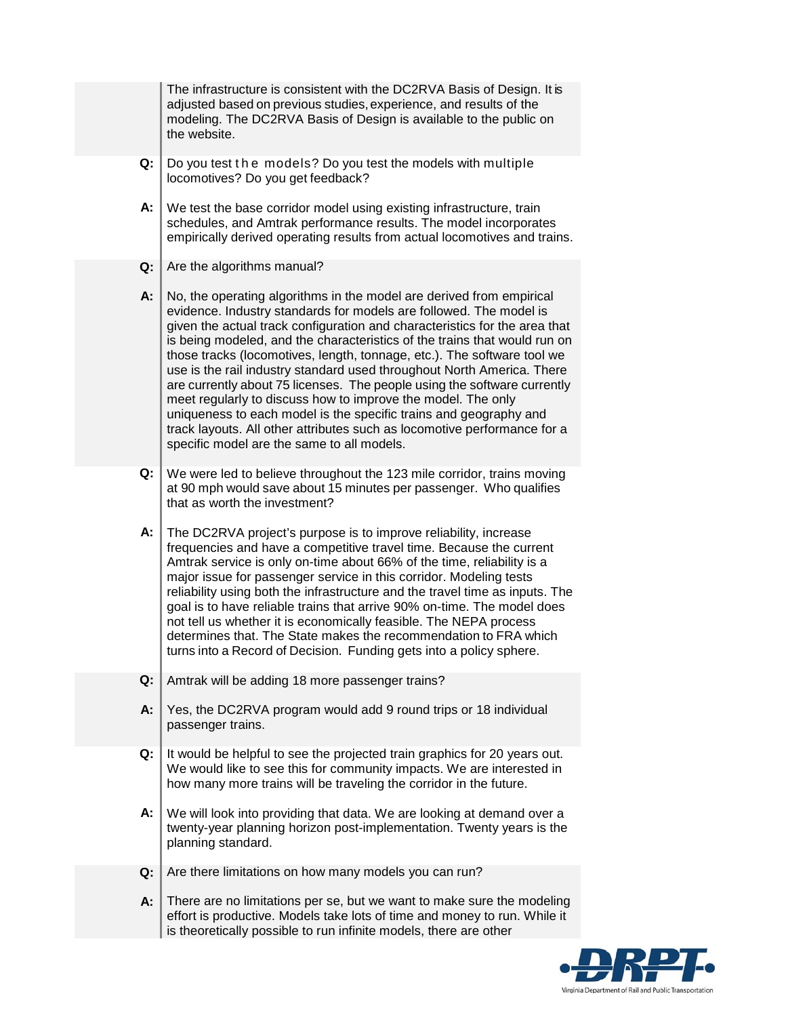The infrastructure is consistent with the DC2RVA Basis of Design. It is adjusted based on previous studies, experience, and results of the modeling. The DC2RVA Basis of Design is available to the public on the website. **Q: A:** Do you test the models? Do you test the models with multiple locomotives? Do you get feedback? We test the base corridor model using existing infrastructure, train schedules, and Amtrak performance results. The model incorporates empirically derived operating results from actual locomotives and trains. **Q: A:** Are the algorithms manual? No, the operating algorithms in the model are derived from empirical evidence. Industry standards for models are followed. The model is given the actual track configuration and characteristics for the area that is being modeled, and the characteristics of the trains that would run on those tracks (locomotives, length, tonnage, etc.). The software tool we use is the rail industry standard used throughout North America. There are currently about 75 licenses. The people using the software currently meet regularly to discuss how to improve the model. The only uniqueness to each model is the specific trains and geography and track layouts. All other attributes such as locomotive performance for a specific model are the same to all models. **Q: A:** We were led to believe throughout the 123 mile corridor, trains moving at 90 mph would save about 15 minutes per passenger. Who qualifies that as worth the investment? The DC2RVA project's purpose is to improve reliability, increase frequencies and have a competitive travel time. Because the current Amtrak service is only on-time about 66% of the time, reliability is a major issue for passenger service in this corridor. Modeling tests reliability using both the infrastructure and the travel time as inputs. The goal is to have reliable trains that arrive 90% on-time. The model does not tell us whether it is economically feasible. The NEPA process determines that. The State makes the recommendation to FRA which turns into a Record of Decision. Funding gets into a policy sphere. **Q: A:** Amtrak will be adding 18 more passenger trains? Yes, the DC2RVA program would add 9 round trips or 18 individual passenger trains. **Q: A:** It would be helpful to see the projected train graphics for 20 years out. We would like to see this for community impacts. We are interested in how many more trains will be traveling the corridor in the future. We will look into providing that data. We are looking at demand over a twenty-year planning horizon post-implementation. Twenty years is the planning standard. **Q:** Are there limitations on how many models you can run? **A:** There are no limitations per se, but we want to make sure the modeling effort is productive. Models take lots of time and money to run. While it is theoretically possible to run infinite models, there are other

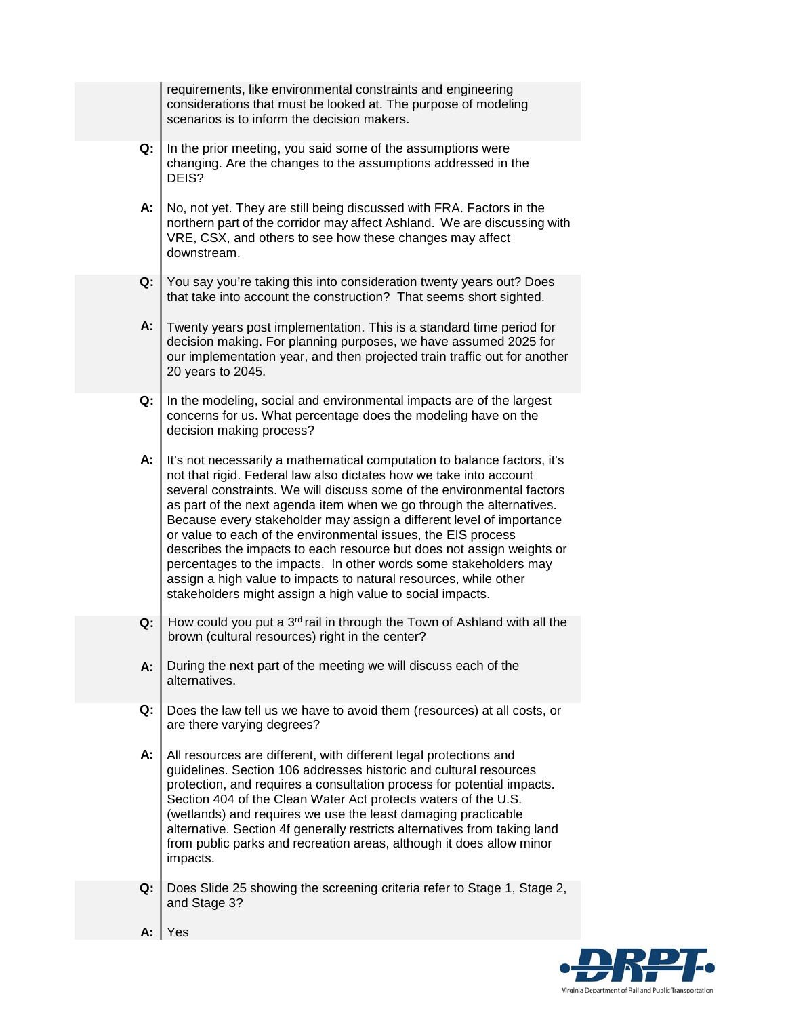|    | requirements, like environmental constraints and engineering<br>considerations that must be looked at. The purpose of modeling<br>scenarios is to inform the decision makers.                                                                                                                                                                                                                                                                                                                                                                                                                                                                                                                                           |
|----|-------------------------------------------------------------------------------------------------------------------------------------------------------------------------------------------------------------------------------------------------------------------------------------------------------------------------------------------------------------------------------------------------------------------------------------------------------------------------------------------------------------------------------------------------------------------------------------------------------------------------------------------------------------------------------------------------------------------------|
| Q: | In the prior meeting, you said some of the assumptions were<br>changing. Are the changes to the assumptions addressed in the<br>DEIS?                                                                                                                                                                                                                                                                                                                                                                                                                                                                                                                                                                                   |
| А: | No, not yet. They are still being discussed with FRA. Factors in the<br>northern part of the corridor may affect Ashland. We are discussing with<br>VRE, CSX, and others to see how these changes may affect<br>downstream.                                                                                                                                                                                                                                                                                                                                                                                                                                                                                             |
| Q: | You say you're taking this into consideration twenty years out? Does<br>that take into account the construction? That seems short sighted.                                                                                                                                                                                                                                                                                                                                                                                                                                                                                                                                                                              |
| А: | Twenty years post implementation. This is a standard time period for<br>decision making. For planning purposes, we have assumed 2025 for<br>our implementation year, and then projected train traffic out for another<br>20 years to 2045.                                                                                                                                                                                                                                                                                                                                                                                                                                                                              |
| Q: | In the modeling, social and environmental impacts are of the largest<br>concerns for us. What percentage does the modeling have on the<br>decision making process?                                                                                                                                                                                                                                                                                                                                                                                                                                                                                                                                                      |
| А: | It's not necessarily a mathematical computation to balance factors, it's<br>not that rigid. Federal law also dictates how we take into account<br>several constraints. We will discuss some of the environmental factors<br>as part of the next agenda item when we go through the alternatives.<br>Because every stakeholder may assign a different level of importance<br>or value to each of the environmental issues, the EIS process<br>describes the impacts to each resource but does not assign weights or<br>percentages to the impacts. In other words some stakeholders may<br>assign a high value to impacts to natural resources, while other<br>stakeholders might assign a high value to social impacts. |
| Q: | How could you put a 3 <sup>rd</sup> rail in through the Town of Ashland with all the<br>brown (cultural resources) right in the center?                                                                                                                                                                                                                                                                                                                                                                                                                                                                                                                                                                                 |
| A: | During the next part of the meeting we will discuss each of the<br>alternatives.                                                                                                                                                                                                                                                                                                                                                                                                                                                                                                                                                                                                                                        |
| Q: | Does the law tell us we have to avoid them (resources) at all costs, or<br>are there varying degrees?                                                                                                                                                                                                                                                                                                                                                                                                                                                                                                                                                                                                                   |
| А: | All resources are different, with different legal protections and<br>guidelines. Section 106 addresses historic and cultural resources<br>protection, and requires a consultation process for potential impacts.<br>Section 404 of the Clean Water Act protects waters of the U.S.<br>(wetlands) and requires we use the least damaging practicable<br>alternative. Section 4f generally restricts alternatives from taking land<br>from public parks and recreation areas, although it does allow minor<br>impacts.                                                                                                                                                                                                    |
| Q: | Does Slide 25 showing the screening criteria refer to Stage 1, Stage 2,<br>and Stage 3?                                                                                                                                                                                                                                                                                                                                                                                                                                                                                                                                                                                                                                 |
| А: | Yes                                                                                                                                                                                                                                                                                                                                                                                                                                                                                                                                                                                                                                                                                                                     |

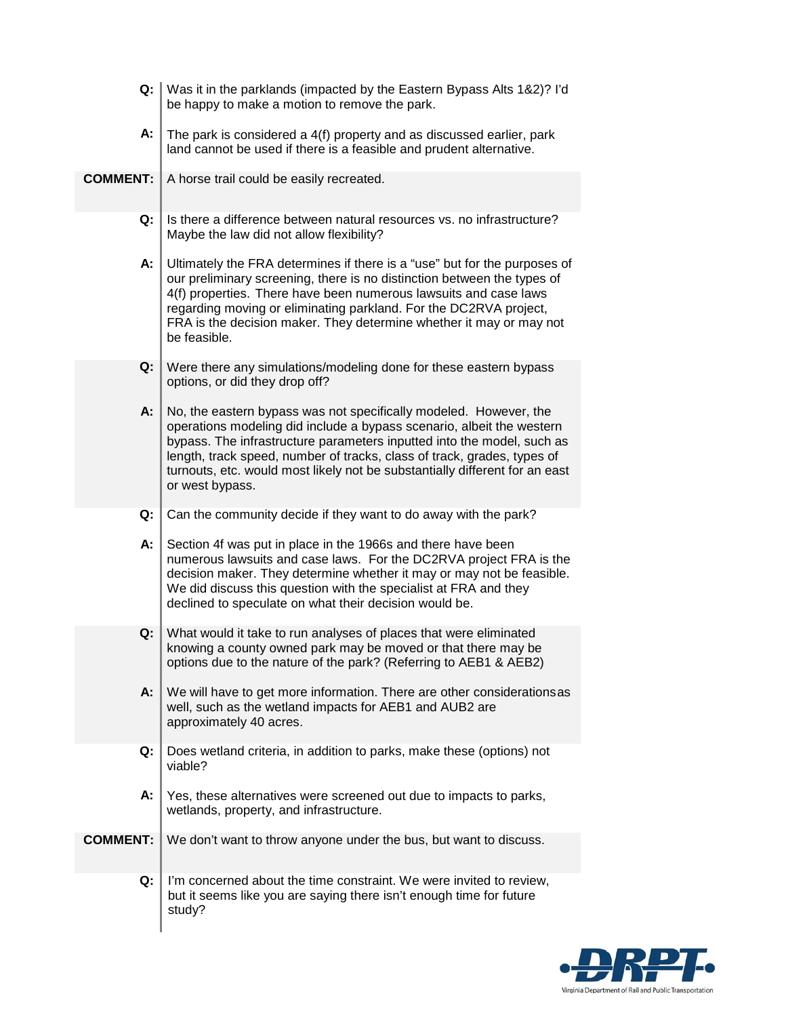| Q:              | Was it in the parklands (impacted by the Eastern Bypass Alts 1&2)? I'd<br>be happy to make a motion to remove the park.                                                                                                                                                                                                                                                                           |
|-----------------|---------------------------------------------------------------------------------------------------------------------------------------------------------------------------------------------------------------------------------------------------------------------------------------------------------------------------------------------------------------------------------------------------|
| А:              | The park is considered a 4(f) property and as discussed earlier, park<br>land cannot be used if there is a feasible and prudent alternative.                                                                                                                                                                                                                                                      |
| <b>COMMENT:</b> | A horse trail could be easily recreated.                                                                                                                                                                                                                                                                                                                                                          |
| Q:              | Is there a difference between natural resources vs. no infrastructure?<br>Maybe the law did not allow flexibility?                                                                                                                                                                                                                                                                                |
| А:              | Ultimately the FRA determines if there is a "use" but for the purposes of<br>our preliminary screening, there is no distinction between the types of<br>4(f) properties. There have been numerous lawsuits and case laws<br>regarding moving or eliminating parkland. For the DC2RVA project,<br>FRA is the decision maker. They determine whether it may or may not<br>be feasible.              |
| Q:              | Were there any simulations/modeling done for these eastern bypass<br>options, or did they drop off?                                                                                                                                                                                                                                                                                               |
| A:              | No, the eastern bypass was not specifically modeled. However, the<br>operations modeling did include a bypass scenario, albeit the western<br>bypass. The infrastructure parameters inputted into the model, such as<br>length, track speed, number of tracks, class of track, grades, types of<br>turnouts, etc. would most likely not be substantially different for an east<br>or west bypass. |
| Q:              | Can the community decide if they want to do away with the park?                                                                                                                                                                                                                                                                                                                                   |
| А:              | Section 4f was put in place in the 1966s and there have been<br>numerous lawsuits and case laws. For the DC2RVA project FRA is the<br>decision maker. They determine whether it may or may not be feasible.<br>We did discuss this question with the specialist at FRA and they<br>declined to speculate on what their decision would be.                                                         |
| Q:              | What would it take to run analyses of places that were eliminated<br>knowing a county owned park may be moved or that there may be<br>options due to the nature of the park? (Referring to AEB1 & AEB2)                                                                                                                                                                                           |
| A:              | We will have to get more information. There are other considerationsas<br>well, such as the wetland impacts for AEB1 and AUB2 are<br>approximately 40 acres.                                                                                                                                                                                                                                      |
| Q:              | Does wetland criteria, in addition to parks, make these (options) not<br>viable?                                                                                                                                                                                                                                                                                                                  |
| А:              | Yes, these alternatives were screened out due to impacts to parks,<br>wetlands, property, and infrastructure.                                                                                                                                                                                                                                                                                     |
| <b>COMMENT:</b> | We don't want to throw anyone under the bus, but want to discuss.                                                                                                                                                                                                                                                                                                                                 |
| Q:              | I'm concerned about the time constraint. We were invited to review,<br>but it seems like you are saying there isn't enough time for future<br>study?                                                                                                                                                                                                                                              |

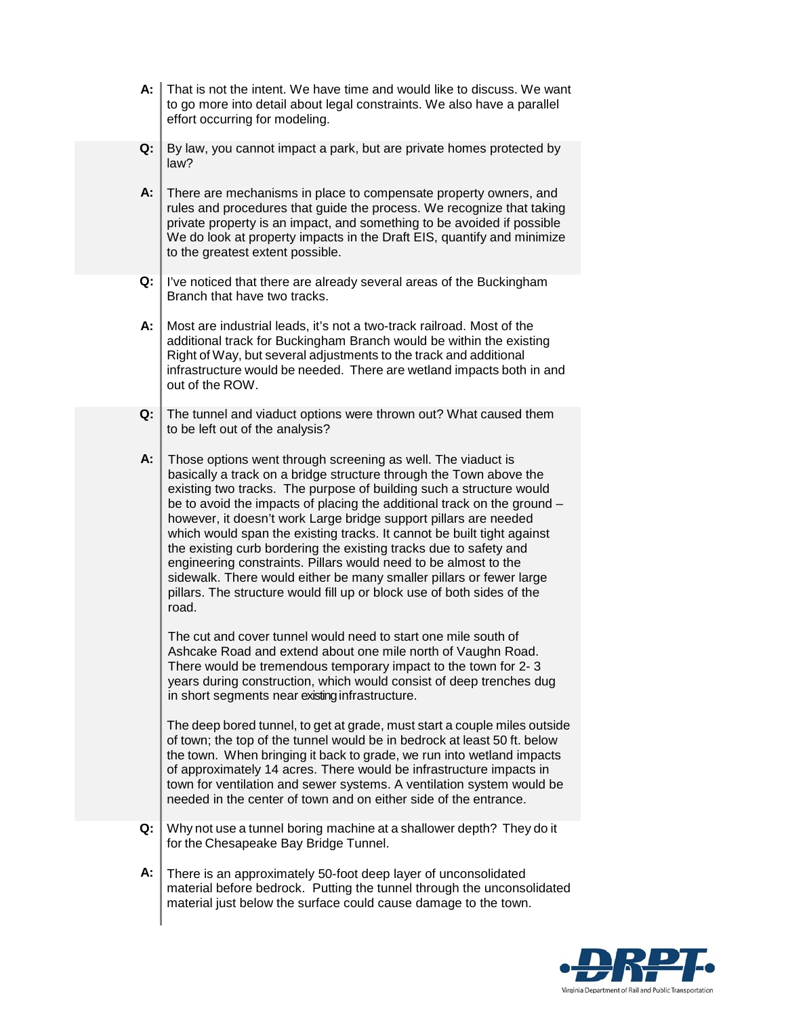- **A:** That is not the intent. We have time and would like to discuss. We want to go more into detail about legal constraints. We also have a parallel effort occurring for modeling.
- **Q:** By law, you cannot impact a park, but are private homes protected by law?
- **A:** There are mechanisms in place to compensate property owners, and rules and procedures that guide the process. We recognize that taking private property is an impact, and something to be avoided if possible We do look at property impacts in the Draft EIS, quantify and minimize to the greatest extent possible.
- **Q:** I've noticed that there are already several areas of the Buckingham Branch that have two tracks.
- **A:** Most are industrial leads, it's not a two-track railroad. Most of the additional track for Buckingham Branch would be within the existing Right of Way, but several adjustments to the track and additional infrastructure would be needed. There are wetland impacts both in and out of the ROW.
- **Q:** The tunnel and viaduct options were thrown out? What caused them to be left out of the analysis?
- **A:** Those options went through screening as well. The viaduct is basically a track on a bridge structure through the Town above the existing two tracks. The purpose of building such a structure would be to avoid the impacts of placing the additional track on the ground – however, it doesn't work Large bridge support pillars are needed which would span the existing tracks. It cannot be built tight against the existing curb bordering the existing tracks due to safety and engineering constraints. Pillars would need to be almost to the sidewalk. There would either be many smaller pillars or fewer large pillars. The structure would fill up or block use of both sides of the road.

The cut and cover tunnel would need to start one mile south of Ashcake Road and extend about one mile north of Vaughn Road. There would be tremendous temporary impact to the town for 2- 3 years during construction, which would consist of deep trenches dug in short segments near existing infrastructure.

The deep bored tunnel, to get at grade, must start a couple miles outside of town; the top of the tunnel would be in bedrock at least 50 ft. below the town. When bringing it back to grade, we run into wetland impacts of approximately 14 acres. There would be infrastructure impacts in town for ventilation and sewer systems. A ventilation system would be needed in the center of town and on either side of the entrance.

- **Q:** Why not use a tunnel boring machine at a shallower depth? They do it for the Chesapeake Bay Bridge Tunnel.
- **A:** There is an approximately 50-foot deep layer of unconsolidated material before bedrock. Putting the tunnel through the unconsolidated material just below the surface could cause damage to the town.

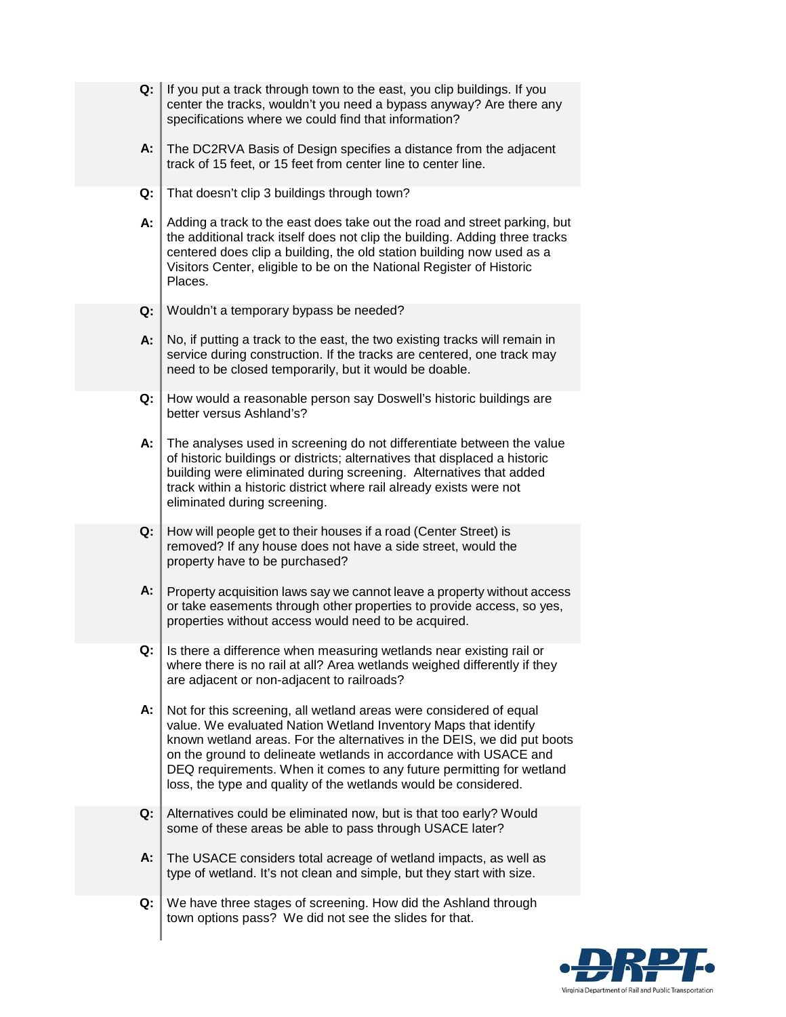| Q: | If you put a track through town to the east, you clip buildings. If you<br>center the tracks, wouldn't you need a bypass anyway? Are there any<br>specifications where we could find that information?                                                                                                                                                                                                                          |
|----|---------------------------------------------------------------------------------------------------------------------------------------------------------------------------------------------------------------------------------------------------------------------------------------------------------------------------------------------------------------------------------------------------------------------------------|
| A: | The DC2RVA Basis of Design specifies a distance from the adjacent<br>track of 15 feet, or 15 feet from center line to center line.                                                                                                                                                                                                                                                                                              |
| Q: | That doesn't clip 3 buildings through town?                                                                                                                                                                                                                                                                                                                                                                                     |
| А: | Adding a track to the east does take out the road and street parking, but<br>the additional track itself does not clip the building. Adding three tracks<br>centered does clip a building, the old station building now used as a<br>Visitors Center, eligible to be on the National Register of Historic<br>Places.                                                                                                            |
| Q: | Wouldn't a temporary bypass be needed?                                                                                                                                                                                                                                                                                                                                                                                          |
| А: | No, if putting a track to the east, the two existing tracks will remain in<br>service during construction. If the tracks are centered, one track may<br>need to be closed temporarily, but it would be doable.                                                                                                                                                                                                                  |
| Q: | How would a reasonable person say Doswell's historic buildings are<br>better versus Ashland's?                                                                                                                                                                                                                                                                                                                                  |
| А: | The analyses used in screening do not differentiate between the value<br>of historic buildings or districts; alternatives that displaced a historic<br>building were eliminated during screening. Alternatives that added<br>track within a historic district where rail already exists were not<br>eliminated during screening.                                                                                                |
| Q: | How will people get to their houses if a road (Center Street) is<br>removed? If any house does not have a side street, would the<br>property have to be purchased?                                                                                                                                                                                                                                                              |
| A: | Property acquisition laws say we cannot leave a property without access<br>or take easements through other properties to provide access, so yes,<br>properties without access would need to be acquired.                                                                                                                                                                                                                        |
| Q: | Is there a difference when measuring wetlands near existing rail or<br>where there is no rail at all? Area wetlands weighed differently if they<br>are adjacent or non-adjacent to railroads?                                                                                                                                                                                                                                   |
| А: | Not for this screening, all wetland areas were considered of equal<br>value. We evaluated Nation Wetland Inventory Maps that identify<br>known wetland areas. For the alternatives in the DEIS, we did put boots<br>on the ground to delineate wetlands in accordance with USACE and<br>DEQ requirements. When it comes to any future permitting for wetland<br>loss, the type and quality of the wetlands would be considered. |
| Q: | Alternatives could be eliminated now, but is that too early? Would<br>some of these areas be able to pass through USACE later?                                                                                                                                                                                                                                                                                                  |
| А: | The USACE considers total acreage of wetland impacts, as well as<br>type of wetland. It's not clean and simple, but they start with size.                                                                                                                                                                                                                                                                                       |
| Q: | We have three stages of screening. How did the Ashland through<br>town options pass? We did not see the slides for that.                                                                                                                                                                                                                                                                                                        |

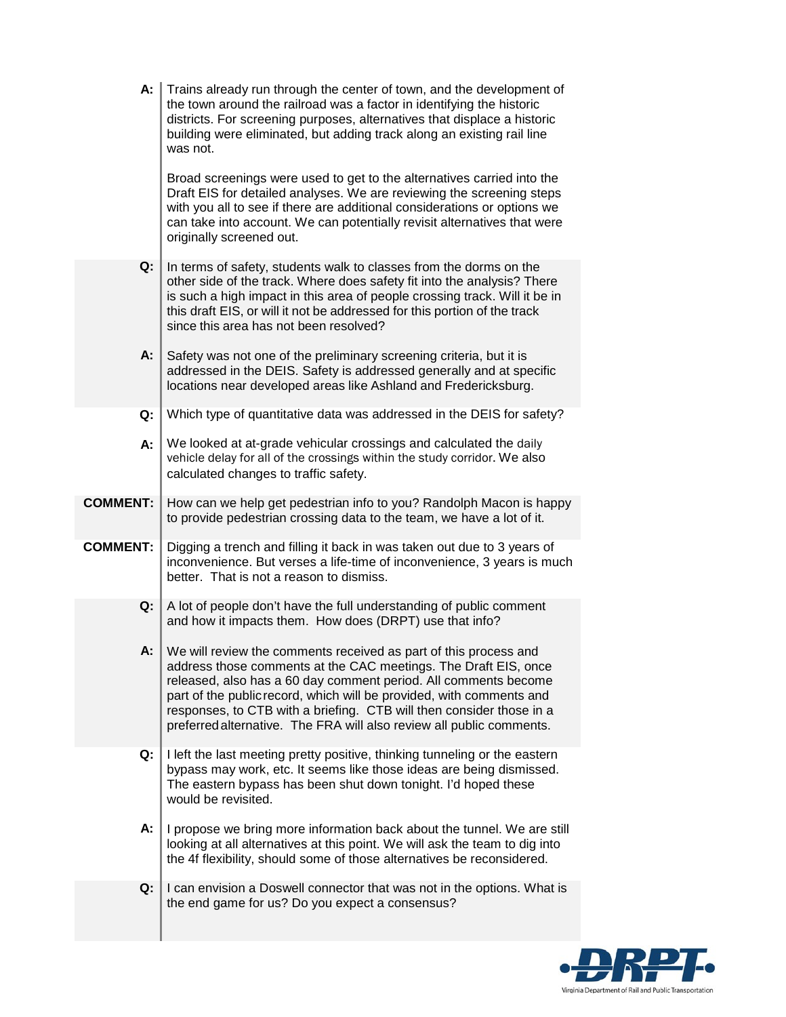| $A: \parallel$  | Trains already run through the center of town, and the development of<br>the town around the railroad was a factor in identifying the historic<br>districts. For screening purposes, alternatives that displace a historic<br>building were eliminated, but adding track along an existing rail line<br>was not.                                                                                                               |
|-----------------|--------------------------------------------------------------------------------------------------------------------------------------------------------------------------------------------------------------------------------------------------------------------------------------------------------------------------------------------------------------------------------------------------------------------------------|
|                 | Broad screenings were used to get to the alternatives carried into the<br>Draft EIS for detailed analyses. We are reviewing the screening steps<br>with you all to see if there are additional considerations or options we<br>can take into account. We can potentially revisit alternatives that were<br>originally screened out.                                                                                            |
| Q:              | In terms of safety, students walk to classes from the dorms on the<br>other side of the track. Where does safety fit into the analysis? There<br>is such a high impact in this area of people crossing track. Will it be in<br>this draft EIS, or will it not be addressed for this portion of the track<br>since this area has not been resolved?                                                                             |
| А:              | Safety was not one of the preliminary screening criteria, but it is<br>addressed in the DEIS. Safety is addressed generally and at specific<br>locations near developed areas like Ashland and Fredericksburg.                                                                                                                                                                                                                 |
| Q:              | Which type of quantitative data was addressed in the DEIS for safety?                                                                                                                                                                                                                                                                                                                                                          |
| А:              | We looked at at-grade vehicular crossings and calculated the daily<br>vehicle delay for all of the crossings within the study corridor. We also<br>calculated changes to traffic safety.                                                                                                                                                                                                                                       |
| <b>COMMENT:</b> | How can we help get pedestrian info to you? Randolph Macon is happy<br>to provide pedestrian crossing data to the team, we have a lot of it.                                                                                                                                                                                                                                                                                   |
| <b>COMMENT:</b> | Digging a trench and filling it back in was taken out due to 3 years of<br>inconvenience. But verses a life-time of inconvenience, 3 years is much<br>better. That is not a reason to dismiss.                                                                                                                                                                                                                                 |
| Q:              | A lot of people don't have the full understanding of public comment<br>and how it impacts them. How does (DRPT) use that info?                                                                                                                                                                                                                                                                                                 |
| А:              | We will review the comments received as part of this process and<br>address those comments at the CAC meetings. The Draft EIS, once<br>released, also has a 60 day comment period. All comments become<br>part of the public record, which will be provided, with comments and<br>responses, to CTB with a briefing. CTB will then consider those in a<br>preferred alternative. The FRA will also review all public comments. |
| Q:              | I left the last meeting pretty positive, thinking tunneling or the eastern<br>bypass may work, etc. It seems like those ideas are being dismissed.<br>The eastern bypass has been shut down tonight. I'd hoped these<br>would be revisited.                                                                                                                                                                                    |
| А:              | I propose we bring more information back about the tunnel. We are still<br>looking at all alternatives at this point. We will ask the team to dig into<br>the 4f flexibility, should some of those alternatives be reconsidered.                                                                                                                                                                                               |
| Q:              | I can envision a Doswell connector that was not in the options. What is<br>the end game for us? Do you expect a consensus?                                                                                                                                                                                                                                                                                                     |

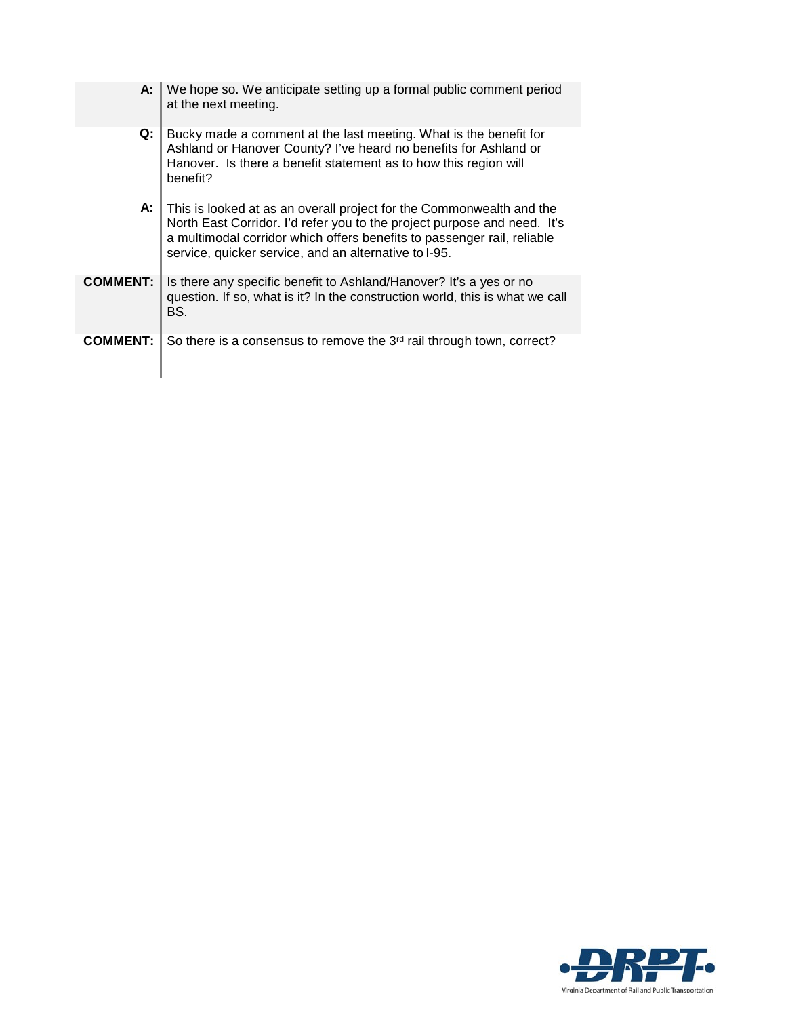| А:              | We hope so. We anticipate setting up a formal public comment period<br>at the next meeting.                                                                                                                                                                                          |
|-----------------|--------------------------------------------------------------------------------------------------------------------------------------------------------------------------------------------------------------------------------------------------------------------------------------|
| Q:              | Bucky made a comment at the last meeting. What is the benefit for<br>Ashland or Hanover County? I've heard no benefits for Ashland or<br>Hanover. Is there a benefit statement as to how this region will<br>benefit?                                                                |
| А:              | This is looked at as an overall project for the Commonwealth and the<br>North East Corridor. I'd refer you to the project purpose and need. It's<br>a multimodal corridor which offers benefits to passenger rail, reliable<br>service, quicker service, and an alternative to I-95. |
| <b>COMMENT:</b> | Is there any specific benefit to Ashland/Hanover? It's a yes or no<br>question. If so, what is it? In the construction world, this is what we call<br>BS.                                                                                                                            |
| <b>COMMENT:</b> | So there is a consensus to remove the 3 <sup>rd</sup> rail through town, correct?                                                                                                                                                                                                    |